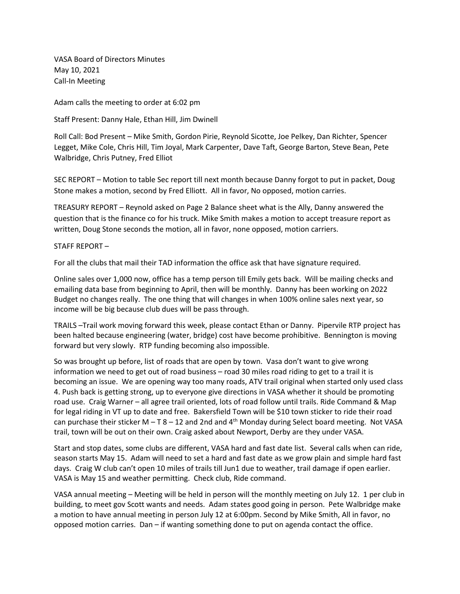VASA Board of Directors Minutes May 10, 2021 Call-In Meeting

Adam calls the meeting to order at 6:02 pm

Staff Present: Danny Hale, Ethan Hill, Jim Dwinell

Roll Call: Bod Present – Mike Smith, Gordon Pirie, Reynold Sicotte, Joe Pelkey, Dan Richter, Spencer Legget, Mike Cole, Chris Hill, Tim Joyal, Mark Carpenter, Dave Taft, George Barton, Steve Bean, Pete Walbridge, Chris Putney, Fred Elliot

SEC REPORT – Motion to table Sec report till next month because Danny forgot to put in packet, Doug Stone makes a motion, second by Fred Elliott. All in favor, No opposed, motion carries.

TREASURY REPORT – Reynold asked on Page 2 Balance sheet what is the Ally, Danny answered the question that is the finance co for his truck. Mike Smith makes a motion to accept treasure report as written, Doug Stone seconds the motion, all in favor, none opposed, motion carriers.

## STAFF REPORT –

For all the clubs that mail their TAD information the office ask that have signature required.

Online sales over 1,000 now, office has a temp person till Emily gets back. Will be mailing checks and emailing data base from beginning to April, then will be monthly. Danny has been working on 2022 Budget no changes really. The one thing that will changes in when 100% online sales next year, so income will be big because club dues will be pass through.

TRAILS –Trail work moving forward this week, please contact Ethan or Danny. Pipervile RTP project has been halted because engineering (water, bridge) cost have become prohibitive. Bennington is moving forward but very slowly. RTP funding becoming also impossible.

So was brought up before, list of roads that are open by town. Vasa don't want to give wrong information we need to get out of road business – road 30 miles road riding to get to a trail it is becoming an issue. We are opening way too many roads, ATV trail original when started only used class 4. Push back is getting strong, up to everyone give directions in VASA whether it should be promoting road use. Craig Warner – all agree trail oriented, lots of road follow until trails. Ride Command & Map for legal riding in VT up to date and free. Bakersfield Town will be \$10 town sticker to ride their road can purchase their sticker M – T 8 – 12 and 2nd and  $4<sup>th</sup>$  Monday during Select board meeting. Not VASA trail, town will be out on their own. Craig asked about Newport, Derby are they under VASA.

Start and stop dates, some clubs are different, VASA hard and fast date list. Several calls when can ride, season starts May 15. Adam will need to set a hard and fast date as we grow plain and simple hard fast days. Craig W club can't open 10 miles of trails till Jun1 due to weather, trail damage if open earlier. VASA is May 15 and weather permitting. Check club, Ride command.

VASA annual meeting – Meeting will be held in person will the monthly meeting on July 12. 1 per club in building, to meet gov Scott wants and needs. Adam states good going in person. Pete Walbridge make a motion to have annual meeting in person July 12 at 6:00pm. Second by Mike Smith, All in favor, no opposed motion carries. Dan – if wanting something done to put on agenda contact the office.